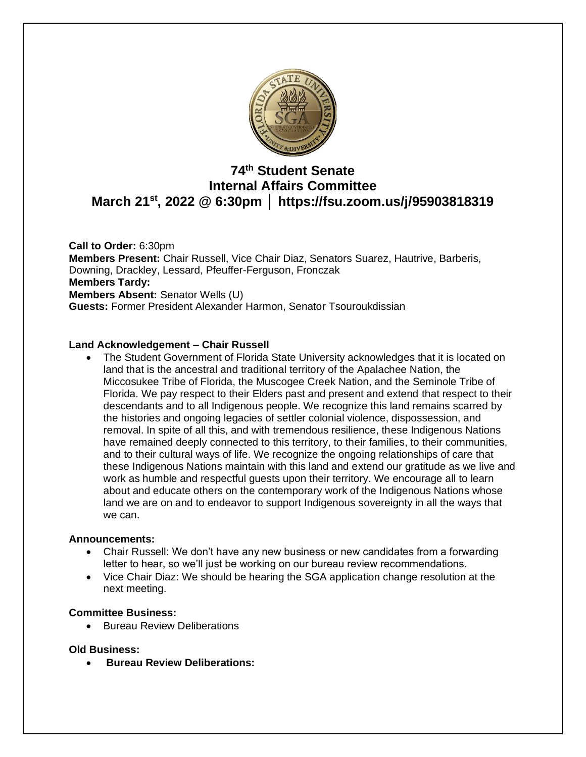

# **74 th Student Senate Internal Affairs Committee March 21st, 2022 @ 6:30pm │ https://fsu.zoom.us/j/95903818319**

**Call to Order:** 6:30pm **Members Present:** Chair Russell, Vice Chair Diaz, Senators Suarez, Hautrive, Barberis, Downing, Drackley, Lessard, Pfeuffer-Ferguson, Fronczak **Members Tardy: Members Absent:** Senator Wells (U) **Guests:** Former President Alexander Harmon, Senator Tsouroukdissian

# **Land Acknowledgement – Chair Russell**

• The Student Government of Florida State University acknowledges that it is located on land that is the ancestral and traditional territory of the Apalachee Nation, the Miccosukee Tribe of Florida, the Muscogee Creek Nation, and the Seminole Tribe of Florida. We pay respect to their Elders past and present and extend that respect to their descendants and to all Indigenous people. We recognize this land remains scarred by the histories and ongoing legacies of settler colonial violence, dispossession, and removal. In spite of all this, and with tremendous resilience, these Indigenous Nations have remained deeply connected to this territory, to their families, to their communities, and to their cultural ways of life. We recognize the ongoing relationships of care that these Indigenous Nations maintain with this land and extend our gratitude as we live and work as humble and respectful guests upon their territory. We encourage all to learn about and educate others on the contemporary work of the Indigenous Nations whose land we are on and to endeavor to support Indigenous sovereignty in all the ways that we can.

#### **Announcements:**

- Chair Russell: We don't have any new business or new candidates from a forwarding letter to hear, so we'll just be working on our bureau review recommendations.
- Vice Chair Diaz: We should be hearing the SGA application change resolution at the next meeting.

#### **Committee Business:**

• Bureau Review Deliberations

#### **Old Business:**

• **Bureau Review Deliberations:**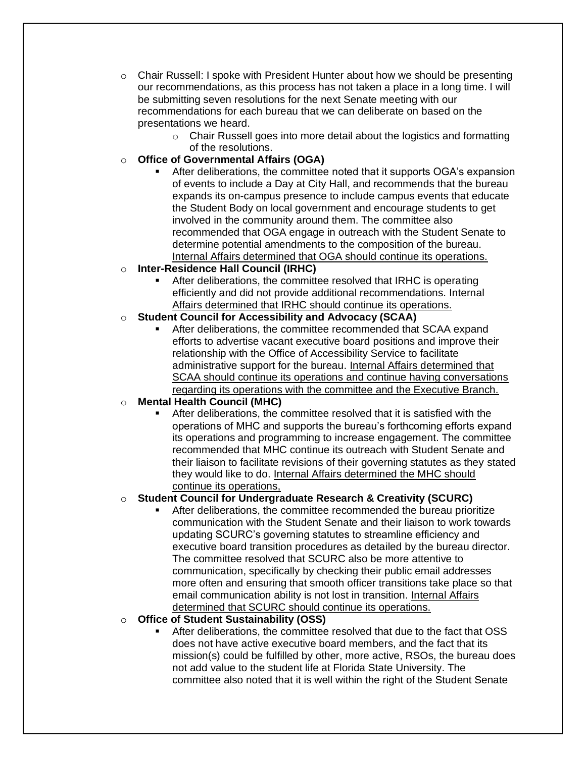- $\circ$  Chair Russell: I spoke with President Hunter about how we should be presenting our recommendations, as this process has not taken a place in a long time. I will be submitting seven resolutions for the next Senate meeting with our recommendations for each bureau that we can deliberate on based on the presentations we heard.
	- o Chair Russell goes into more detail about the logistics and formatting of the resolutions.
- o **Office of Governmental Affairs (OGA)**
	- After deliberations, the committee noted that it supports OGA's expansion of events to include a Day at City Hall, and recommends that the bureau expands its on-campus presence to include campus events that educate the Student Body on local government and encourage students to get involved in the community around them. The committee also recommended that OGA engage in outreach with the Student Senate to determine potential amendments to the composition of the bureau. Internal Affairs determined that OGA should continue its operations.
- o **Inter-Residence Hall Council (IRHC)**
	- After deliberations, the committee resolved that IRHC is operating efficiently and did not provide additional recommendations. Internal Affairs determined that IRHC should continue its operations.
- o **Student Council for Accessibility and Advocacy (SCAA)**
	- After deliberations, the committee recommended that SCAA expand efforts to advertise vacant executive board positions and improve their relationship with the Office of Accessibility Service to facilitate administrative support for the bureau. Internal Affairs determined that SCAA should continue its operations and continue having conversations regarding its operations with the committee and the Executive Branch.
- o **Mental Health Council (MHC)**
	- After deliberations, the committee resolved that it is satisfied with the operations of MHC and supports the bureau's forthcoming efforts expand its operations and programming to increase engagement. The committee recommended that MHC continue its outreach with Student Senate and their liaison to facilitate revisions of their governing statutes as they stated they would like to do. Internal Affairs determined the MHC should continue its operations,

# o **Student Council for Undergraduate Research & Creativity (SCURC)**

- After deliberations, the committee recommended the bureau prioritize communication with the Student Senate and their liaison to work towards updating SCURC's governing statutes to streamline efficiency and executive board transition procedures as detailed by the bureau director. The committee resolved that SCURC also be more attentive to communication, specifically by checking their public email addresses more often and ensuring that smooth officer transitions take place so that email communication ability is not lost in transition. Internal Affairs determined that SCURC should continue its operations.
- o **Office of Student Sustainability (OSS)**
	- After deliberations, the committee resolved that due to the fact that OSS does not have active executive board members, and the fact that its mission(s) could be fulfilled by other, more active, RSOs, the bureau does not add value to the student life at Florida State University. The committee also noted that it is well within the right of the Student Senate